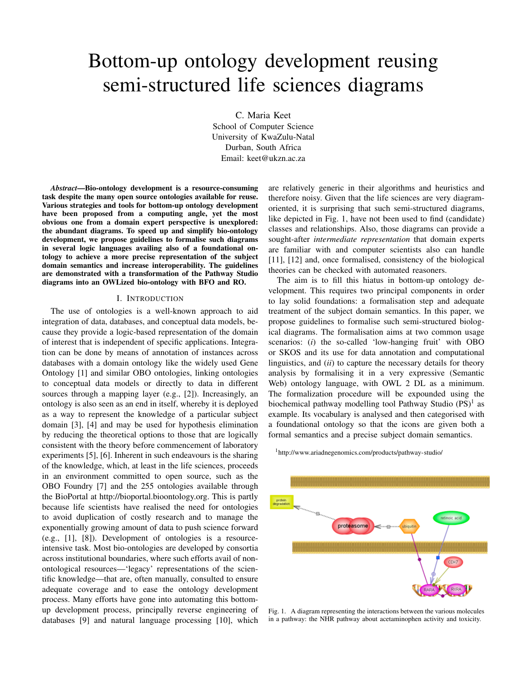# Bottom-up ontology development reusing semi-structured life sciences diagrams

C. Maria Keet School of Computer Science University of KwaZulu-Natal Durban, South Africa Email: keet@ukzn.ac.za

*Abstract*—Bio-ontology development is a resource-consuming task despite the many open source ontologies available for reuse. Various strategies and tools for bottom-up ontology development have been proposed from a computing angle, yet the most obvious one from a domain expert perspective is unexplored: the abundant diagrams. To speed up and simplify bio-ontology development, we propose guidelines to formalise such diagrams in several logic languages availing also of a foundational ontology to achieve a more precise representation of the subject domain semantics and increase interoperability. The guidelines are demonstrated with a transformation of the Pathway Studio diagrams into an OWLized bio-ontology with BFO and RO.

# I. INTRODUCTION

The use of ontologies is a well-known approach to aid integration of data, databases, and conceptual data models, because they provide a logic-based representation of the domain of interest that is independent of specific applications. Integration can be done by means of annotation of instances across databases with a domain ontology like the widely used Gene Ontology [1] and similar OBO ontologies, linking ontologies to conceptual data models or directly to data in different sources through a mapping layer (e.g., [2]). Increasingly, an ontology is also seen as an end in itself, whereby it is deployed as a way to represent the knowledge of a particular subject domain [3], [4] and may be used for hypothesis elimination by reducing the theoretical options to those that are logically consistent with the theory before commencement of laboratory experiments [5], [6]. Inherent in such endeavours is the sharing of the knowledge, which, at least in the life sciences, proceeds in an environment committed to open source, such as the OBO Foundry [7] and the 255 ontologies available through the BioPortal at http://bioportal.bioontology.org. This is partly because life scientists have realised the need for ontologies to avoid duplication of costly research and to manage the exponentially growing amount of data to push science forward (e.g., [1], [8]). Development of ontologies is a resourceintensive task. Most bio-ontologies are developed by consortia across institutional boundaries, where such efforts avail of nonontological resources—'legacy' representations of the scientific knowledge—that are, often manually, consulted to ensure adequate coverage and to ease the ontology development process. Many efforts have gone into automating this bottomup development process, principally reverse engineering of databases [9] and natural language processing [10], which

are relatively generic in their algorithms and heuristics and therefore noisy. Given that the life sciences are very diagramoriented, it is surprising that such semi-structured diagrams, like depicted in Fig. 1, have not been used to find (candidate) classes and relationships. Also, those diagrams can provide a sought-after *intermediate representation* that domain experts are familiar with and computer scientists also can handle [11], [12] and, once formalised, consistency of the biological theories can be checked with automated reasoners.

The aim is to fill this hiatus in bottom-up ontology development. This requires two principal components in order to lay solid foundations: a formalisation step and adequate treatment of the subject domain semantics. In this paper, we propose guidelines to formalise such semi-structured biological diagrams. The formalisation aims at two common usage scenarios: (*i*) the so-called 'low-hanging fruit' with OBO or SKOS and its use for data annotation and computational linguistics, and (*ii*) to capture the necessary details for theory analysis by formalising it in a very expressive (Semantic Web) ontology language, with OWL 2 DL as a minimum. The formalization procedure will be expounded using the biochemical pathway modelling tool Pathway Studio (PS)<sup>1</sup> as example. Its vocabulary is analysed and then categorised with a foundational ontology so that the icons are given both a formal semantics and a precise subject domain semantics.

<sup>1</sup>http://www.ariadnegenomics.com/products/pathway-studio/



Fig. 1. A diagram representing the interactions between the various molecules in a pathway: the NHR pathway about acetaminophen activity and toxicity.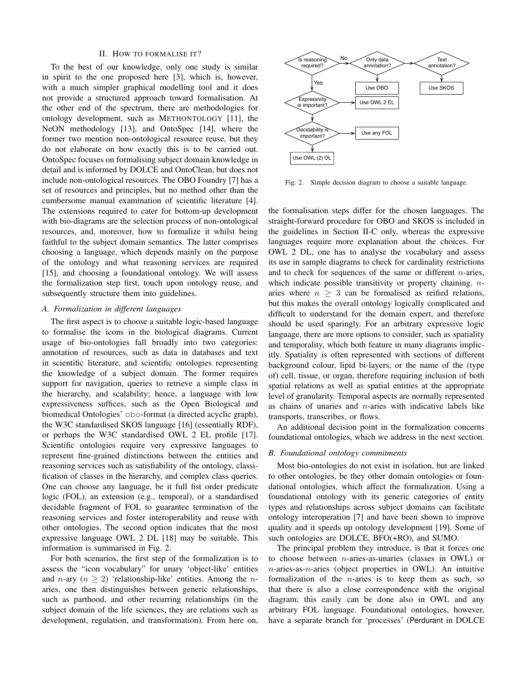#### II. HOW TO FORMALISE IT?

To the best of our knowledge, only one study is similar in spirit to the one proposed here [3], which is, however, with a much simpler graphical modelling tool and it does not provide a structured approach toward formalisation. At the other end of the spectrum, there are methodologies for ontology development, such as METHONTOLOGY [11], the NeON methodology [13], and OntoSpec [14], where the former two mention non-ontological resource reuse, but they do not elaborate on how exactly this is to be carried out. OntoSpec focuses on formalising subject domain knowledge in detail and is informed by DOLCE and OntoClean, but does not include non-ontological resources. The OBO Foundry [7] has a set of resources and principles, but no method other than the cumbersome manual examination of scientific literature [4]. The extensions required to cater for bottom-up development with bio-diagrams are the selection process of non-ontological resources, and, moreover, how to formalize it whilst being faithful to the subject domain semantics. The latter comprises choosing a language, which depends mainly on the purpose of the ontology and what reasoning services are required [15], and choosing a foundational ontology. We will assess the formalization step first, touch upon ontology reuse, and subsequently structure them into guidelines.

# *A. Formalization in different languages*

The first aspect is to choose a suitable logic-based language to formalise the icons in the biological diagrams. Current usage of bio-ontologies fall broadly into two categories: annotation of resources, such as data in databases and text in scientific literature, and scientific ontologies representing the knowledge of a subject domain. The former requires support for navigation, queries to retrieve a simple class in the hierarchy, and scalability; hence, a language with low expressiveness suffices, such as the Open Biological and biomedical Ontologies' obo-format (a directed acyclic graph), the W3C standardised SKOS language [16] (essentially RDF), or perhaps the W3C standardised OWL 2 EL profile [17]. Scientific ontologies require very expressive languages to represent fine-grained distinctions between the entities and reasoning services such as satisfiability of the ontology, classification of classes in the hierarchy, and complex class queries. One can choose any language, be it full fist order predicate logic (FOL), an extension (e.g., temporal), or a standardised decidable fragment of FOL to guarantee termination of the reasoning services and foster interoperability and reuse with other ontologies. The second option indicates that the most expressive language OWL 2 DL [18] may be suitable. This information is summarised in Fig. 2.

For both scenarios, the first step of the formalization is to assess the "icon vocabulary" for unary 'object-like' entities and *n*-ary  $(n > 2)$  'relationship-like' entities. Among the *n*aries, one then distinguishes between generic relationships, such as parthood, and other recurring relationships (in the subject domain of the life sciences, they are relations such as development, regulation, and transformation). From here on,



Fig. 2. Simple decision diagram to choose a suitable language.

the formalisation steps differ for the chosen languages. The straight-forward procedure for OBO and SKOS is included in the guidelines in Section II-C only, whereas the expressive languages require more explanation about the choices. For OWL 2 DL, one has to analyse the vocabulary and assess its use in sample diagrams to check for cardinality restrictions and to check for sequences of the same or different  $n$ -aries, which indicate possible transitivity or property chaining.  $n$ aries where  $n \geq 3$  can be formalised as reified relations, but this makes the overall ontology logically complicated and difficult to understand for the domain expert, and therefore should be used sparingly. For an arbitrary expressive logic language, there are more options to consider, such as spatiality and temporality, which both feature in many diagrams implicitly. Spatiality is often represented with sections of different background colour, lipid bi-layers, or the name of the (type of) cell, tissue, or organ, therefore requiring inclusion of both spatial relations as well as spatial entities at the appropriate level of granularity. Temporal aspects are normally represented as chains of unaries and  $n$ -aries with indicative labels like transports, transcribes, or flows.

An additional decision point in the formalization concerns foundational ontologies, which we address in the next section.

#### *B. Foundational ontology commitments*

Most bio-ontologies do not exist in isolation, but are linked to other ontologies, be they other domain ontologies or foundational ontologies, which affect the formalization. Using a foundational ontology with its generic categories of entity types and relationships across subject domains can facilitate ontology interoperation [7] and have been shown to improve quality and it speeds up ontology development [19]. Some of such ontologies are DOLCE, BFO(+RO), and SUMO.

The principal problem they introduce, is that it forces one to choose between n-aries-as-unaries (classes in OWL) or  $n$ -aries-as- $n$ -aries (object properties in OWL). An intuitive formalization of the *n*-aries is to keep them as such, so that there is also a close correspondence with the original diagram; this easily can be done also in OWL and any arbitrary FOL language. Foundational ontologies, however, have a separate branch for 'processes' (Perdurant in DOLCE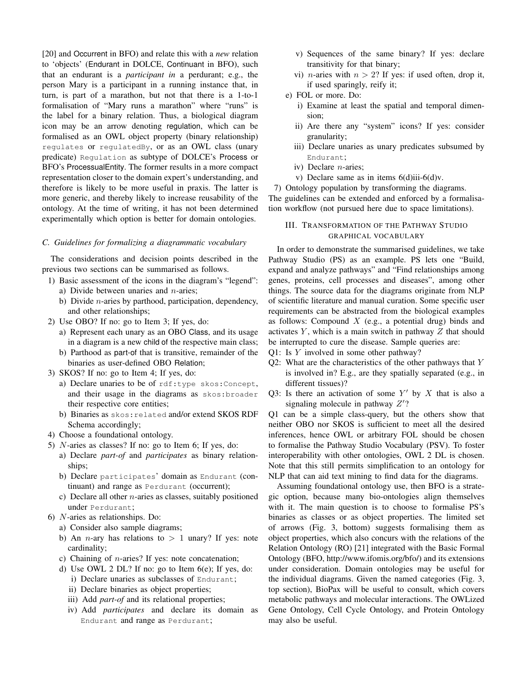[20] and Occurrent in BFO) and relate this with a *new* relation to 'objects' (Endurant in DOLCE, Continuant in BFO), such that an endurant is a *participant in* a perdurant; e.g., the person Mary is a participant in a running instance that, in turn, is part of a marathon, but not that there is a 1-to-1 formalisation of "Mary runs a marathon" where "runs" is the label for a binary relation. Thus, a biological diagram icon may be an arrow denoting regulation, which can be formalised as an OWL object property (binary relationship) regulates or regulatedBy, or as an OWL class (unary predicate) Regulation as subtype of DOLCE's Process or BFO's ProcessualEntity. The former results in a more compact representation closer to the domain expert's understanding, and therefore is likely to be more useful in praxis. The latter is more generic, and thereby likely to increase reusability of the ontology. At the time of writing, it has not been determined experimentally which option is better for domain ontologies.

## *C. Guidelines for formalizing a diagrammatic vocabulary*

The considerations and decision points described in the previous two sections can be summarised as follows.

- 1) Basic assessment of the icons in the diagram's "legend":
	- a) Divide between unaries and  $n$ -aries;
	- b) Divide  $n$ -aries by parthood, participation, dependency, and other relationships;
- 2) Use OBO? If no: go to Item 3; If yes, do:
	- a) Represent each unary as an OBO Class, and its usage in a diagram is a new child of the respective main class;
	- b) Parthood as part-of that is transitive, remainder of the binaries as user-defined OBO Relation;
- 3) SKOS? If no: go to Item 4; If yes, do:
	- a) Declare unaries to be of rdf:type skos:Concept, and their usage in the diagrams as skos:broader their respective core entities;
	- b) Binaries as skos:related and/or extend SKOS RDF Schema accordingly;
- 4) Choose a foundational ontology.
- 5) N-aries as classes? If no: go to Item 6; If yes, do:
	- a) Declare *part-of* and *participates* as binary relationships;
	- b) Declare participates' domain as Endurant (continuant) and range as Perdurant (occurrent);
	- c) Declare all other  $n$ -aries as classes, suitably positioned under Perdurant;
- 6) N-aries as relationships. Do:
	- a) Consider also sample diagrams;
	- b) An *n*-ary has relations to  $> 1$  unary? If yes: note cardinality;
	- c) Chaining of  $n$ -aries? If yes: note concatenation;
	- d) Use OWL 2 DL? If no: go to Item 6(e); If yes, do:
		- i) Declare unaries as subclasses of Endurant;
		- ii) Declare binaries as object properties;
		- iii) Add *part-of* and its relational properties;
		- iv) Add *participates* and declare its domain as Endurant and range as Perdurant;
- v) Sequences of the same binary? If yes: declare transitivity for that binary;
- vi) *n*-aries with  $n > 2$ ? If yes: if used often, drop it, if used sparingly, reify it;
- e) FOL or more. Do:
	- i) Examine at least the spatial and temporal dimension;
	- ii) Are there any "system" icons? If yes: consider granularity;
	- iii) Declare unaries as unary predicates subsumed by Endurant;
	- iv) Declare n-aries;
	- v) Declare same as in items 6(d)iii-6(d)v.

7) Ontology population by transforming the diagrams. The guidelines can be extended and enforced by a formalisation workflow (not pursued here due to space limitations).

# III. TRANSFORMATION OF THE PATHWAY STUDIO GRAPHICAL VOCABULARY

In order to demonstrate the summarised guidelines, we take Pathway Studio (PS) as an example. PS lets one "Build, expand and analyze pathways" and "Find relationships among genes, proteins, cell processes and diseases", among other things. The source data for the diagrams originate from NLP of scientific literature and manual curation. Some specific user requirements can be abstracted from the biological examples as follows: Compound  $X$  (e.g., a potential drug) binds and activates  $Y$ , which is a main switch in pathway  $Z$  that should be interrupted to cure the disease. Sample queries are:

Q1: Is Y involved in some other pathway?

- Q2: What are the characteristics of the other pathways that Y is involved in? E.g., are they spatially separated (e.g., in different tissues)?
- Q3: Is there an activation of some  $Y'$  by X that is also a signaling molecule in pathway  $Z$ ?

Q1 can be a simple class-query, but the others show that neither OBO nor SKOS is sufficient to meet all the desired inferences, hence OWL or arbitrary FOL should be chosen to formalise the Pathway Studio Vocabulary (PSV). To foster interoperability with other ontologies, OWL 2 DL is chosen. Note that this still permits simplification to an ontology for NLP that can aid text mining to find data for the diagrams.

Assuming foundational ontology use, then BFO is a strategic option, because many bio-ontologies align themselves with it. The main question is to choose to formalise PS's binaries as classes or as object properties. The limited set of arrows (Fig. 3, bottom) suggests formalising them as object properties, which also concurs with the relations of the Relation Ontology (RO) [21] integrated with the Basic Formal Ontology (BFO, http://www.ifomis.org/bfo/) and its extensions under consideration. Domain ontologies may be useful for the individual diagrams. Given the named categories (Fig. 3, top section), BioPax will be useful to consult, which covers metabolic pathways and molecular interactions. The OWLized Gene Ontology, Cell Cycle Ontology, and Protein Ontology may also be useful.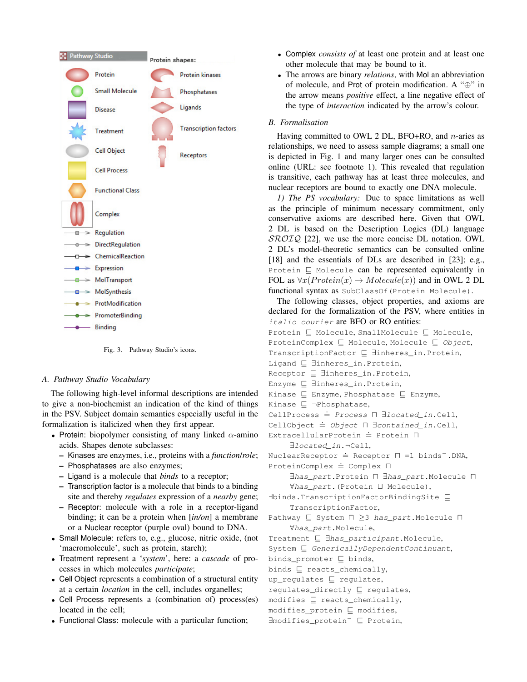

Fig. 3. Pathway Studio's icons.

## *A. Pathway Studio Vocabulary*

The following high-level informal descriptions are intended to give a non-biochemist an indication of the kind of things in the PSV. Subject domain semantics especially useful in the formalization is italicized when they first appear.

- Protein: biopolymer consisting of many linked  $\alpha$ -amino acids. Shapes denote subclasses:
	- Kinases are enzymes, i.e., proteins with a *function*/*role*;
	- Phosphatases are also enzymes;
	- Ligand is a molecule that *binds* to a receptor;
	- Transcription factor is a molecule that binds to a binding site and thereby *regulates* expression of a *nearby* gene;
	- Receptor: molecule with a role in a receptor-ligand binding; it can be a protein when [*in/on*] a membrane or a Nuclear receptor (purple oval) bound to DNA.
- Small Molecule: refers to, e.g., glucose, nitric oxide, (not 'macromolecule', such as protein, starch);
- Treatment represent a '*system*', here: a *cascade* of processes in which molecules *participate*;
- Cell Object represents a combination of a structural entity at a certain *location* in the cell, includes organelles;
- Cell Process represents a (combination of) process(es) located in the cell;
- Functional Class: molecule with a particular function;
- Complex *consists of* at least one protein and at least one other molecule that may be bound to it.
- The arrows are binary *relations*, with Mol an abbreviation of molecule, and Prot of protein modification. A "⊕" in the arrow means *positive* effect, a line negative effect of the type of *interaction* indicated by the arrow's colour.

# *B. Formalisation*

Having committed to OWL 2 DL, BFO+RO, and  $n$ -aries as relationships, we need to assess sample diagrams; a small one is depicted in Fig. 1 and many larger ones can be consulted online (URL: see footnote 1). This revealed that regulation is transitive, each pathway has at least three molecules, and nuclear receptors are bound to exactly one DNA molecule.

*1) The PS vocabulary:* Due to space limitations as well as the principle of minimum necessary commitment, only conservative axioms are described here. Given that OWL 2 DL is based on the Description Logics (DL) language  $\mathcal{SROIQ}$  [22], we use the more concise DL notation. OWL 2 DL's model-theoretic semantics can be consulted online [18] and the essentials of DLs are described in [23]; e.g., Protein  $\sqsubseteq$  Molecule can be represented equivalently in FOL as  $\forall x (Protein(x) \rightarrow Molecule(x))$  and in OWL 2 DL functional syntax as SubClassOf(Protein Molecule).

The following classes, object properties, and axioms are declared for the formalization of the PSV, where entities in italic courier are BFO or RO entities:

```
Protein \sqsubseteq Molecule, SmallMolecule \sqsubseteq Molecule,
ProteinComplex \sqsubseteq Molecule, Molecule \sqsubseteq Object,
TranscriptionFactor ⊑ ∃inheres_in.Protein,
```
Ligand  $\sqsubseteq$  ∃inheres\_in.Protein,

```
Receptor ⊑ ∃inheres_in.Protein,
```
- Enzyme **⊑** ∃inheres\_in.Protein,
- Kinase  $\Box$  Enzyme, Phosphatase  $\Box$  Enzyme,
- Kinase  $\Box$   $\neg$ Phosphatase,
- CellProcess  $\dot{=}$  *Process*  $\Box$  *∃located\_in.Cell*,
- CellObject  $\dot{=}$  Object  $\Box$   $\exists$  contained in.Cell,

 $ExtracellularProtein \doteq Protein \ \Box$ 

∃located\_in.¬Cell,

NuclearReceptor  $\dot{=}$  Receptor  $\Box$  =1 binds<sup>-</sup>.DNA,  $ProteinComplex \doteq Complex \ \Box$ 

∃has\_part.Protein n ∃has\_part.Molecule n ∀has part. (Protein ⊔ Molecule),

∃binds.TranscriptionFactorBindingSite v TranscriptionFactor,

Pathway  $\Box$  System  $\Box$  >3 has part. Molecule  $\Box$ ∀has\_part.Molecule,

Treatment  $\subseteq$  ∃has\_participant.Molecule,

 $System \sqsubseteq GenerallyDependentContinuant,$ 

binds\_promoter  $\sqsubseteq$  binds,

binds  $\sqsubseteq$  reacts\_chemically,

up\_regulates  $\Box$  regulates,

regulates\_directly  $\sqsubseteq$  regulates,

 $modifies \sqsubseteq reacts{\_}chemically,$ 

 $modifies\_protein \sqsubseteq$  modifies,

∃modifies\_protein<sup>-</sup> ⊑ Protein,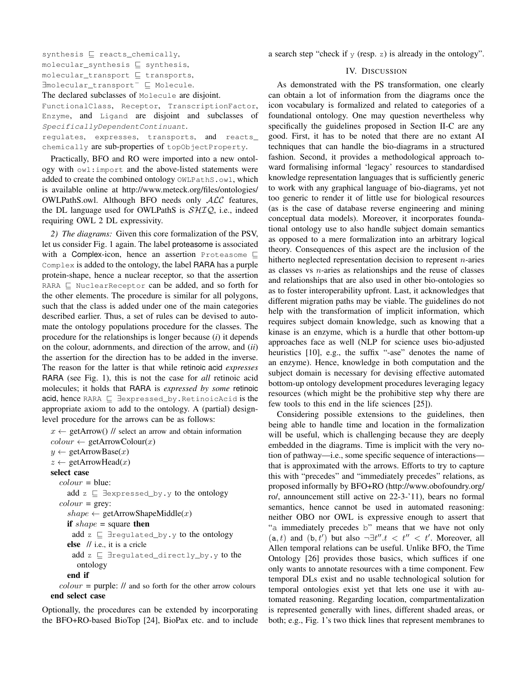synthesis  $\Box$  reacts\_chemically,  $molecular$ \_synthesis  $\sqsubseteq$  synthesis,  $molecular_transform \sqsubset transform$ ∃molecular\_transport<sup>-</sup>  $\sqsubseteq$  Molecule. The declared subclasses of Molecule are disjoint. FunctionalClass, Receptor, TranscriptionFactor, Enzyme, and Ligand are disjoint and subclasses of SpecificallyDependentContinuant.

regulates, expresses, transports, and reacts\_ chemically are sub-properties of topObjectProperty.

Practically, BFO and RO were imported into a new ontology with owl:import and the above-listed statements were added to create the combined ontology OWLPathS.owl, which is available online at http://www.meteck.org/files/ontologies/ OWLPathS.owl. Although BFO needs only ALC features, the DL language used for OWLPathS is  $\mathcal{SHIQ}$ , i.e., indeed requiring OWL 2 DL expressivity.

*2) The diagrams:* Given this core formalization of the PSV, let us consider Fig. 1 again. The label proteasome is associated with a Complex-icon, hence an assertion Proteasome  $\Box$ Complex is added to the ontology, the label RARA has a purple protein-shape, hence a nuclear receptor, so that the assertion RARA  $\Box$  NuclearReceptor can be added, and so forth for the other elements. The procedure is similar for all polygons, such that the class is added under one of the main categories described earlier. Thus, a set of rules can be devised to automate the ontology populations procedure for the classes. The procedure for the relationships is longer because (*i*) it depends on the colour, adornments, and direction of the arrow, and (*ii*) the assertion for the direction has to be added in the inverse. The reason for the latter is that while retinoic acid *expresses* RARA (see Fig. 1), this is not the case for *all* retinoic acid molecules; it holds that RARA is *expressed by some* retinoic acid, hence RARA  $\sqsubseteq$  ∃expressed\_by. RetinoicAcid is the appropriate axiom to add to the ontology. A (partial) designlevel procedure for the arrows can be as follows:

 $x \leftarrow$  getArrow() // select an arrow and obtain information  $colour \leftarrow getArrowColor(x)$  $y \leftarrow$  getArrowBase $(x)$  $z \leftarrow$  getArrowHead(x) select case  $colour = blue$ : add  $z \sqsubseteq \exists$ expressed\_by.y to the ontology  $colour = grey$ :  $shape \leftarrow getArrowShapeMiddle(x)$ if  $shape = square$  then add  $z \sqsubseteq \exists$ regulated\_by.y to the ontology else // i.e., it is a cricle add  $z \sqsubseteq \exists$ regulated\_directly\_by.y to the ontology end if  $colour = purple:$   $//$  and so forth for the other arrow colours end select case

Optionally, the procedures can be extended by incorporating the BFO+RO-based BioTop [24], BioPax etc. and to include a search step "check if  $\gamma$  (resp. z) is already in the ontology".

# IV. DISCUSSION

As demonstrated with the PS transformation, one clearly can obtain a lot of information from the diagrams once the icon vocabulary is formalized and related to categories of a foundational ontology. One may question nevertheless why specifically the guidelines proposed in Section II-C are any good. First, it has to be noted that there are no extant AI techniques that can handle the bio-diagrams in a structured fashion. Second, it provides a methodological approach toward formalising informal 'legacy' resources to standardised knowledge representation languages that is sufficiently generic to work with any graphical language of bio-diagrams, yet not too generic to render it of little use for biological resources (as is the case of database reverse engineering and mining conceptual data models). Moreover, it incorporates foundational ontology use to also handle subject domain semantics as opposed to a mere formalization into an arbitrary logical theory. Consequences of this aspect are the inclusion of the hitherto neglected representation decision to represent n-aries as classes vs  $n$ -aries as relationships and the reuse of classes and relationships that are also used in other bio-ontologies so as to foster interoperability upfront. Last, it acknowledges that different migration paths may be viable. The guidelines do not help with the transformation of implicit information, which requires subject domain knowledge, such as knowing that a kinase is an enzyme, which is a hurdle that other bottom-up approaches face as well (NLP for science uses bio-adjusted heuristics [10], e.g., the suffix "-ase" denotes the name of an enzyme). Hence, knowledge in both computation and the subject domain is necessary for devising effective automated bottom-up ontology development procedures leveraging legacy resources (which might be the prohibitive step why there are few tools to this end in the life sciences [25]).

Considering possible extensions to the guidelines, then being able to handle time and location in the formalization will be useful, which is challenging because they are deeply embedded in the diagrams. Time is implicit with the very notion of pathway—i.e., some specific sequence of interactions that is approximated with the arrows. Efforts to try to capture this with "precedes" and "immediately precedes" relations, as proposed informally by BFO+RO (http://www.obofoundry.org/ ro/, announcement still active on 22-3-'11), bears no formal semantics, hence cannot be used in automated reasoning: neither OBO nor OWL is expressive enough to assert that "a immediately precedes b" means that we have not only  $(a, t)$  and  $(b, t')$  but also  $\neg \exists t'' \cdot t < t'' < t'$ . Moreover, all Allen temporal relations can be useful. Unlike BFO, the Time Ontology [26] provides those basics, which suffices if one only wants to annotate resources with a time component. Few temporal DLs exist and no usable technological solution for temporal ontologies exist yet that lets one use it with automated reasoning. Regarding location, compartmentalization is represented generally with lines, different shaded areas, or both; e.g., Fig. 1's two thick lines that represent membranes to